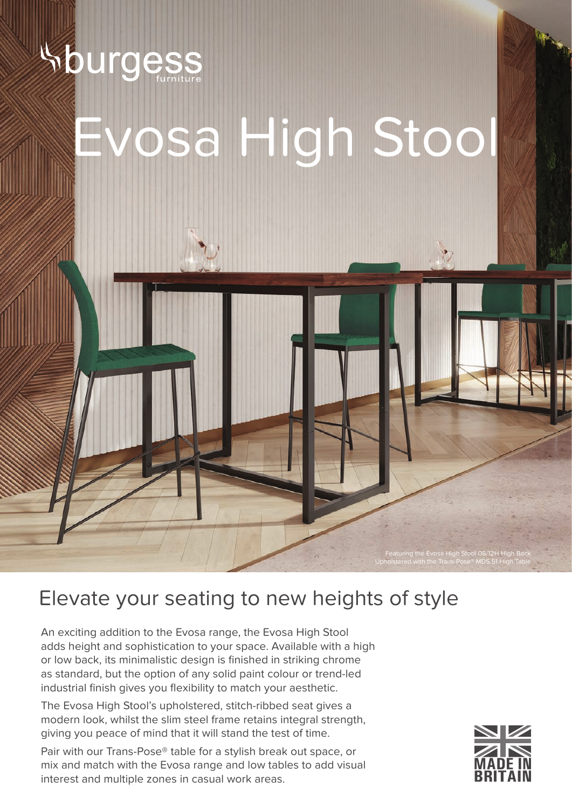

## Elevate your seating to new heights of style

An exciting addition to the Evosa range, the Evosa High Stool adds height and sophistication to your space. Available with a high or low back, its minimalistic design is finished in striking chrome as standard, but the option of any solid paint colour or trend-led industrial finish gives you flexibility to match your aesthetic.

The Evosa High Stool's upholstered, stitch-ribbed seat gives a modern look, whilst the slim steel frame retains integral strength, giving you peace of mind that it will stand the test of time.

Pair with our Trans-Pose® table for a stylish break out space, or mix and match with the Evosa range and low tables to add visual interest and multiple zones in casual work areas.